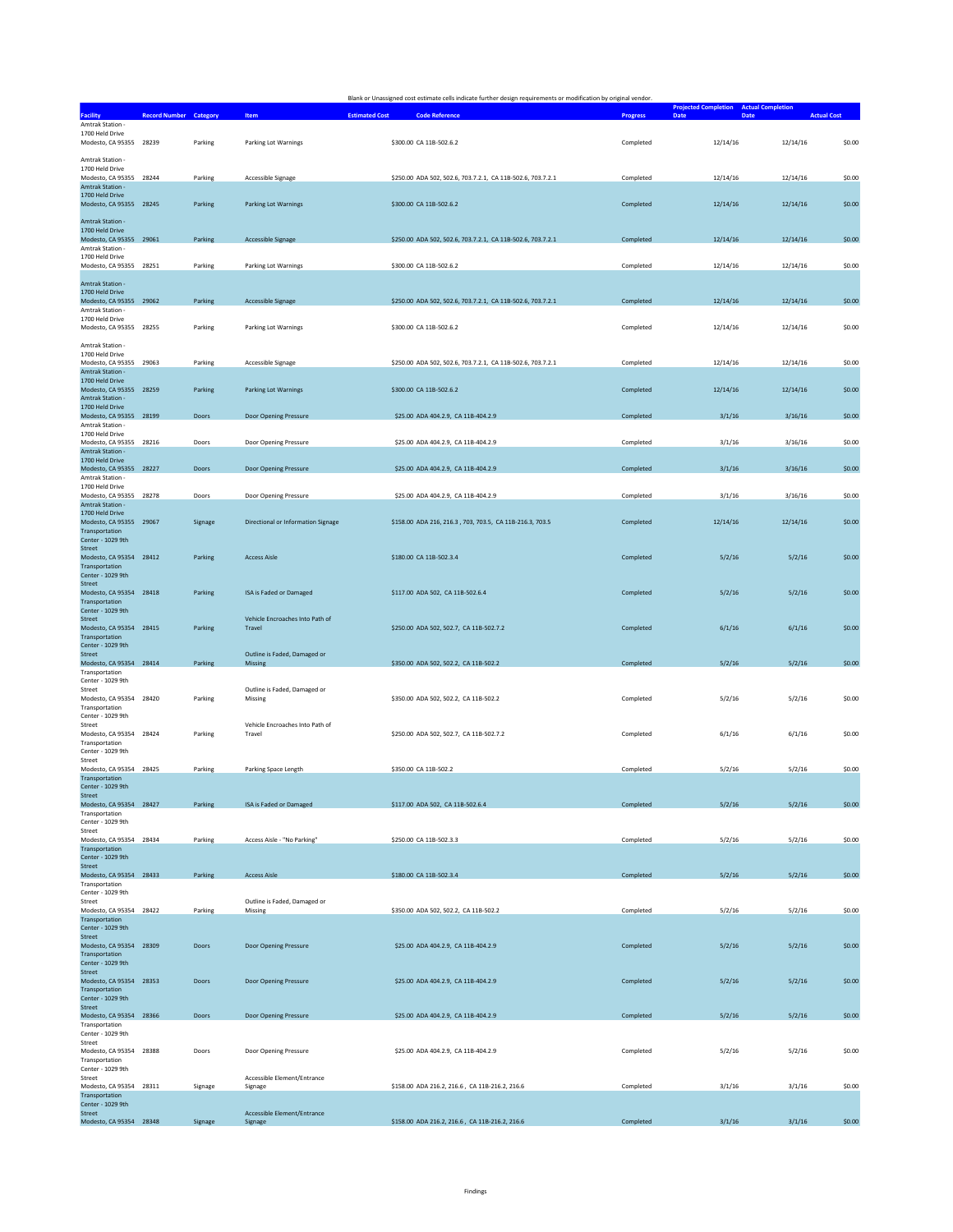|                                             |                               |         |                                           | Blank or Unassigned cost estimate cells indicate further design requirements or modification by original vendor. |                 |                                                                             |          |                    |
|---------------------------------------------|-------------------------------|---------|-------------------------------------------|------------------------------------------------------------------------------------------------------------------|-----------------|-----------------------------------------------------------------------------|----------|--------------------|
| <b>Facility</b>                             | <b>Record Number Category</b> |         | Item                                      | <b>Estimated Cost</b><br><b>Code Reference</b>                                                                   | <b>Progress</b> | <b>Projected Completion</b> Actual Completion<br><b>Date</b><br><b>Date</b> |          | <b>Actual Cost</b> |
| Amtrak Station -                            |                               |         |                                           |                                                                                                                  |                 |                                                                             |          |                    |
| 1700 Held Drive<br>Modesto, CA 95355 28239  |                               | Parking | Parking Lot Warnings                      | \$300.00 CA 11B-502.6.2                                                                                          | Completed       | 12/14/16                                                                    | 12/14/16 | \$0.00             |
|                                             |                               |         |                                           |                                                                                                                  |                 |                                                                             |          |                    |
| Amtrak Station -                            |                               |         |                                           |                                                                                                                  |                 |                                                                             |          |                    |
| 1700 Held Drive<br>Modesto, CA 95355 28244  |                               | Parking | Accessible Signage                        | \$250.00 ADA 502, 502.6, 703.7.2.1, CA 11B-502.6, 703.7.2.1                                                      | Completed       | 12/14/16                                                                    | 12/14/16 | \$0.00             |
| Amtrak Station -                            |                               |         |                                           |                                                                                                                  |                 |                                                                             |          |                    |
| 1700 Held Drive                             |                               |         |                                           |                                                                                                                  |                 |                                                                             |          |                    |
| Modesto, CA 95355 28245                     |                               | Parking | Parking Lot Warnings                      | \$300.00 CA 11B-502.6.2                                                                                          | Completed       | 12/14/16                                                                    | 12/14/16 | \$0.00             |
| Amtrak Station -                            |                               |         |                                           |                                                                                                                  |                 |                                                                             |          |                    |
| 1700 Held Drive                             |                               |         |                                           |                                                                                                                  |                 |                                                                             |          |                    |
| Modesto, CA 95355 29061                     |                               | Parking | Accessible Signage                        | \$250.00 ADA 502, 502.6, 703.7.2.1, CA 11B-502.6, 703.7.2.1                                                      | Completed       | 12/14/16                                                                    | 12/14/16 | \$0.00             |
| Amtrak Station<br>1700 Held Drive           |                               |         |                                           |                                                                                                                  |                 |                                                                             |          |                    |
| Modesto, CA 95355 28251                     |                               | Parking | Parking Lot Warnings                      | \$300.00 CA 11B-502.6.2                                                                                          | Completed       | 12/14/16                                                                    | 12/14/16 | \$0.00             |
|                                             |                               |         |                                           |                                                                                                                  |                 |                                                                             |          |                    |
| Amtrak Station -<br>1700 Held Drive         |                               |         |                                           |                                                                                                                  |                 |                                                                             |          |                    |
| Modesto, CA 95355 29062                     |                               | Parking | Accessible Signage                        | \$250.00 ADA 502, 502.6, 703.7.2.1, CA 11B-502.6, 703.7.2.1                                                      | Completed       | 12/14/16                                                                    | 12/14/16 | \$0.00             |
| Amtrak Station -                            |                               |         |                                           |                                                                                                                  |                 |                                                                             |          |                    |
| 1700 Held Drive<br>Modesto, CA 95355 28255  |                               | Parking | Parking Lot Warnings                      | \$300.00 CA 11B-502.6.2                                                                                          | Completed       | 12/14/16                                                                    | 12/14/16 | \$0.00             |
|                                             |                               |         |                                           |                                                                                                                  |                 |                                                                             |          |                    |
| Amtrak Station -                            |                               |         |                                           |                                                                                                                  |                 |                                                                             |          |                    |
| 1700 Held Drive<br>Modesto, CA 95355 29063  |                               | Parking | Accessible Signage                        | \$250.00 ADA 502, 502.6, 703.7.2.1, CA 11B-502.6, 703.7.2.1                                                      | Completed       | 12/14/16                                                                    | 12/14/16 | \$0.00             |
| Amtrak Station -                            |                               |         |                                           |                                                                                                                  |                 |                                                                             |          |                    |
| 1700 Held Drive                             |                               |         |                                           |                                                                                                                  |                 |                                                                             |          |                    |
| Modesto, CA 95355 28259<br>Amtrak Station - |                               | Parking | Parking Lot Warnings                      | \$300.00 CA 11B-502.6.2                                                                                          | Completed       | 12/14/16                                                                    | 12/14/16 | \$0.00             |
| 1700 Held Drive                             |                               |         |                                           |                                                                                                                  |                 |                                                                             |          |                    |
| Modesto, CA 95355 28199                     |                               | Doors   | Door Opening Pressure                     | \$25.00 ADA 404.2.9, CA 11B-404.2.9                                                                              | Completed       | 3/1/16                                                                      | 3/16/16  | \$0.00             |
| Amtrak Station<br>1700 Held Drive           |                               |         |                                           |                                                                                                                  |                 |                                                                             |          |                    |
| Modesto, CA 95355 28216                     |                               | Doors   | Door Opening Pressure                     | \$25.00 ADA 404.2.9, CA 11B-404.2.9                                                                              | Completed       | 3/1/16                                                                      | 3/16/16  | \$0.00             |
| Amtrak Station -                            |                               |         |                                           |                                                                                                                  |                 |                                                                             |          |                    |
| 1700 Held Drive                             |                               |         |                                           |                                                                                                                  |                 |                                                                             |          |                    |
| Modesto, CA 95355 28227<br>Amtrak Station - |                               | Doors   | Door Opening Pressure                     | \$25.00 ADA 404.2.9, CA 11B-404.2.9                                                                              | Completed       | 3/1/16                                                                      | 3/16/16  | \$0.00             |
| 1700 Held Drive                             |                               |         |                                           |                                                                                                                  |                 |                                                                             |          |                    |
| Modesto, CA 95355 28278                     |                               | Doors   | Door Opening Pressure                     | \$25.00 ADA 404.2.9, CA 11B-404.2.9                                                                              | Completed       | 3/1/16                                                                      | 3/16/16  | \$0.00             |
| <b>Amtrak Station -</b><br>1700 Held Drive  |                               |         |                                           |                                                                                                                  |                 |                                                                             |          |                    |
| Modesto, CA 95355 29067                     |                               | Signage | Directional or Information Signage        | \$158.00 ADA 216, 216.3, 703, 703.5, CA 11B-216.3, 703.5                                                         | Completed       | 12/14/16                                                                    | 12/14/16 | \$0.00             |
| Transportation                              |                               |         |                                           |                                                                                                                  |                 |                                                                             |          |                    |
| Center - 1029 9th<br>Street                 |                               |         |                                           |                                                                                                                  |                 |                                                                             |          |                    |
| Modesto, CA 95354 28412                     |                               | Parking | <b>Access Aisle</b>                       | \$180.00 CA 11B-502.3.4                                                                                          | Completed       | 5/2/16                                                                      | 5/2/16   | \$0.00             |
| Transportation                              |                               |         |                                           |                                                                                                                  |                 |                                                                             |          |                    |
| Center - 1029 9th<br>Street                 |                               |         |                                           |                                                                                                                  |                 |                                                                             |          |                    |
| Modesto, CA 95354 28418                     |                               | Parking | <b>ISA is Faded or Damaged</b>            | \$117.00 ADA 502, CA 11B-502.6.4                                                                                 | Completed       | 5/2/16                                                                      | 5/2/16   | \$0.00             |
| Transportation                              |                               |         |                                           |                                                                                                                  |                 |                                                                             |          |                    |
| Center - 1029 9th<br><b>Street</b>          |                               |         | Vehicle Encroaches Into Path of           |                                                                                                                  |                 |                                                                             |          |                    |
| Modesto, CA 95354 28415                     |                               | Parking | Travel                                    | \$250.00 ADA 502, 502.7, CA 11B-502.7.2                                                                          | Completed       | 6/1/16                                                                      | 6/1/16   | \$0.00             |
| Transportation                              |                               |         |                                           |                                                                                                                  |                 |                                                                             |          |                    |
| Center - 1029 9th                           |                               |         |                                           |                                                                                                                  |                 |                                                                             |          |                    |
| <b>Street</b><br>Modesto, CA 95354 28414    |                               | Parking | Outline is Faded, Damaged or<br>Missing   | \$350.00 ADA 502, 502.2, CA 11B-502.2                                                                            | Completed       | 5/2/16                                                                      | 5/2/16   | \$0.00             |
| Transportation                              |                               |         |                                           |                                                                                                                  |                 |                                                                             |          |                    |
| Center - 1029 9th                           |                               |         |                                           |                                                                                                                  |                 |                                                                             |          |                    |
| Street<br>Modesto, CA 95354 28420           |                               | Parking | Outline is Faded, Damaged or<br>Missing   | \$350.00 ADA 502, 502.2, CA 11B-502.2                                                                            | Completed       | 5/2/16                                                                      | 5/2/16   | \$0.00             |
| Transportation                              |                               |         |                                           |                                                                                                                  |                 |                                                                             |          |                    |
| Center - 1029 9th                           |                               |         |                                           |                                                                                                                  |                 |                                                                             |          |                    |
| Street                                      |                               | Parking | Vehicle Encroaches Into Path of<br>Travel | \$250.00 ADA 502, 502.7, CA 11B-502.7.2                                                                          |                 |                                                                             | 6/1/16   | \$0.00             |
| Modesto, CA 95354 28424<br>Transportation   |                               |         |                                           |                                                                                                                  | Completed       | 6/1/16                                                                      |          |                    |
| Center - 1029 9th                           |                               |         |                                           |                                                                                                                  |                 |                                                                             |          |                    |
| Street                                      |                               |         |                                           |                                                                                                                  |                 |                                                                             |          |                    |
| Modesto, CA 95354 28425<br>Transportation   |                               | Parking | Parking Space Length                      | \$350.00 CA 11B-502.2                                                                                            | Completed       | 5/2/16                                                                      | 5/2/16   | \$0.00             |
| Center - 1029 9th                           |                               |         |                                           |                                                                                                                  |                 |                                                                             |          |                    |
| Street                                      |                               |         |                                           |                                                                                                                  |                 |                                                                             |          |                    |
| Modesto, CA 95354 28427<br>Transportation   |                               | Parking | ISA is Faded or Damaged                   | \$117.00 ADA 502, CA 11B-502.6.4                                                                                 | Completed       | 5/2/16                                                                      | 5/2/16   | \$0.00             |
| Center - 1029 9th                           |                               |         |                                           |                                                                                                                  |                 |                                                                             |          |                    |
| Street<br>Modesto, CA 95354 28434           |                               | Parking | Access Aisle - "No Parking"               | \$250.00 CA 11B-502.3.3                                                                                          |                 | 5/2/16                                                                      | 5/2/16   |                    |
| Transportation                              |                               |         |                                           |                                                                                                                  | Completed       |                                                                             |          | \$0.00             |
| Center - 1029 9th                           |                               |         |                                           |                                                                                                                  |                 |                                                                             |          |                    |
| <b>Street</b><br>Modesto, CA 95354 28433    |                               |         |                                           |                                                                                                                  |                 |                                                                             |          |                    |
| Transportation                              |                               | Parking | <b>Access Aisle</b>                       | \$180.00 CA 11B-502.3.4                                                                                          | Completed       | 5/2/16                                                                      | 5/2/16   | \$0.00             |
| Center - 1029 9th                           |                               |         |                                           |                                                                                                                  |                 |                                                                             |          |                    |
| Street                                      |                               |         | Outline is Faded, Damaged or              |                                                                                                                  |                 |                                                                             |          |                    |
| Modesto, CA 95354 28422<br>Transportation   |                               | Parking | Missing                                   | \$350.00 ADA 502, 502.2, CA 11B-502.2                                                                            | Completed       | 5/2/16                                                                      | 5/2/16   | \$0.00             |
| Center - 1029 9th                           |                               |         |                                           |                                                                                                                  |                 |                                                                             |          |                    |
| Street                                      |                               |         |                                           |                                                                                                                  |                 |                                                                             |          |                    |
| Modesto, CA 95354 28309<br>Transportation   |                               | Doors   | Door Opening Pressure                     | \$25.00 ADA 404.2.9, CA 11B-404.2.9                                                                              | Completed       | 5/2/16                                                                      | 5/2/16   | \$0.00             |
| Center - 1029 9th                           |                               |         |                                           |                                                                                                                  |                 |                                                                             |          |                    |
| Street                                      |                               |         |                                           |                                                                                                                  |                 |                                                                             |          |                    |
| Modesto, CA 95354 28353                     |                               | Doors   | Door Opening Pressure                     | \$25.00 ADA 404.2.9, CA 11B-404.2.9                                                                              | Completed       | 5/2/16                                                                      | 5/2/16   | \$0.00             |
| Transportation<br>Center - 1029 9th         |                               |         |                                           |                                                                                                                  |                 |                                                                             |          |                    |
| Street                                      |                               |         |                                           |                                                                                                                  |                 |                                                                             |          |                    |
| Modesto, CA 95354 28366                     |                               | Doors   | Door Opening Pressure                     | \$25.00 ADA 404.2.9, CA 11B-404.2.9                                                                              | Completed       | 5/2/16                                                                      | 5/2/16   | \$0.00             |
| Transportation<br>Center - 1029 9th         |                               |         |                                           |                                                                                                                  |                 |                                                                             |          |                    |
| Street                                      |                               |         |                                           |                                                                                                                  |                 |                                                                             |          |                    |
| Modesto, CA 95354 28388                     |                               | Doors   | Door Opening Pressure                     | \$25.00 ADA 404.2.9, CA 11B-404.2.9                                                                              | Completed       | 5/2/16                                                                      | 5/2/16   | \$0.00             |
| Transportation<br>Center - 1029 9th         |                               |         |                                           |                                                                                                                  |                 |                                                                             |          |                    |
| Street                                      |                               |         | Accessible Element/Entrance               |                                                                                                                  |                 |                                                                             |          |                    |
| Modesto, CA 95354 28311                     |                               | Signage | Signage                                   | \$158.00 ADA 216.2, 216.6, CA 11B-216.2, 216.6                                                                   | Completed       | 3/1/16                                                                      | 3/1/16   | \$0.00             |
| Transportation<br>Center - 1029 9th         |                               |         |                                           |                                                                                                                  |                 |                                                                             |          |                    |
| Street                                      |                               |         | Accessible Element/Entrance               |                                                                                                                  |                 |                                                                             |          |                    |
| Modesto, CA 95354 28348                     |                               | Signage | Signage                                   | \$158.00 ADA 216.2, 216.6, CA 11B-216.2, 216.6                                                                   | Completed       | 3/1/16                                                                      | 3/1/16   | \$0.00             |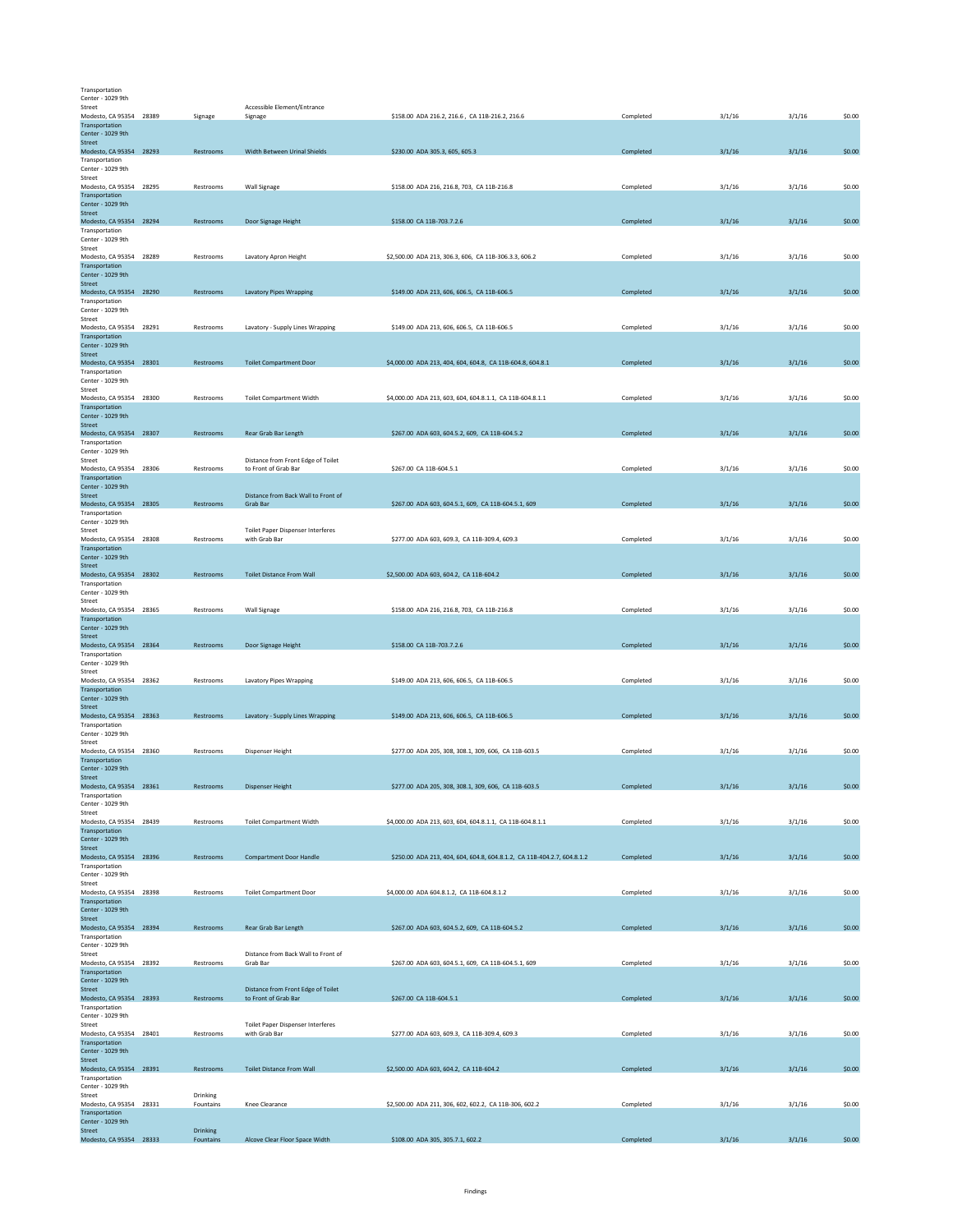| Transportation    |  |  |  |  |  |  |  |  |
|-------------------|--|--|--|--|--|--|--|--|
| Center - 1029 9th |  |  |  |  |  |  |  |  |

| Ceuter - TOSA Aru                                              |                       |                                                            |                                                                         |           |        |        |        |
|----------------------------------------------------------------|-----------------------|------------------------------------------------------------|-------------------------------------------------------------------------|-----------|--------|--------|--------|
| Street<br>Modesto, CA 95354 28389<br>Transportation            | Signage               | Accessible Element/Entrance<br>Signage                     | \$158.00 ADA 216.2, 216.6, CA 11B-216.2, 216.6                          | Completed | 3/1/16 | 3/1/16 | \$0.00 |
| Center - 1029 9th<br>Street                                    |                       |                                                            |                                                                         |           |        |        |        |
| Modesto, CA 95354 28293<br>Transportation                      | Restrooms             | Width Between Urinal Shields                               | \$230.00 ADA 305.3, 605, 605.3                                          | Completed | 3/1/16 | 3/1/16 | \$0.00 |
| Center - 1029 9th<br>Street<br>Modesto, CA 95354 28295         | Restrooms             | Wall Signage                                               | \$158.00 ADA 216, 216.8, 703, CA 11B-216.8                              | Completed | 3/1/16 | 3/1/16 | \$0.00 |
| Transportation<br>Center - 1029 9th                            |                       |                                                            |                                                                         |           |        |        |        |
| Street<br>Modesto, CA 95354 28294                              | Restrooms             | Door Signage Height                                        | \$158.00 CA 11B-703.7.2.6                                               | Completed | 3/1/16 | 3/1/16 | \$0.00 |
| Transportation<br>Center - 1029 9th                            |                       |                                                            |                                                                         |           |        |        |        |
| Street<br>Modesto, CA 95354 28289                              | Restrooms             | Lavatory Apron Height                                      | \$2,500.00 ADA 213, 306.3, 606, CA 11B-306.3.3, 606.2                   | Completed | 3/1/16 | 3/1/16 | \$0.00 |
| Transportation<br>Center - 1029 9th<br><b>Street</b>           |                       |                                                            |                                                                         |           |        |        |        |
| Modesto, CA 95354 28290<br>Transportation                      | Restrooms             | <b>Lavatory Pipes Wrapping</b>                             | \$149.00 ADA 213, 606, 606.5, CA 11B-606.5                              | Completed | 3/1/16 | 3/1/16 | \$0.00 |
| Center - 1029 9th<br>Street                                    |                       |                                                            |                                                                         |           |        |        |        |
| Modesto, CA 95354 28291<br>Transportation                      | Restrooms             | Lavatory - Supply Lines Wrapping                           | \$149.00 ADA 213, 606, 606.5, CA 11B-606.5                              | Completed | 3/1/16 | 3/1/16 | \$0.00 |
| Center - 1029 9th<br>Street<br>Modesto, CA 95354 28301         | Restrooms             | <b>Toilet Compartment Door</b>                             | \$4,000.00 ADA 213, 404, 604, 604.8, CA 11B-604.8, 604.8.1              | Completed | 3/1/16 | 3/1/16 | \$0.00 |
| Transportation<br>Center - 1029 9th                            |                       |                                                            |                                                                         |           |        |        |        |
| Street<br>Modesto, CA 95354 28300                              | Restrooms             | <b>Toilet Compartment Width</b>                            | \$4,000.00 ADA 213, 603, 604, 604.8.1.1, CA 11B-604.8.1.1               | Completed | 3/1/16 | 3/1/16 | \$0.00 |
| Transportation<br>Center - 1029 9th                            |                       |                                                            |                                                                         |           |        |        |        |
| Street<br>Modesto, CA 95354 28307<br>Transportation            | Restrooms             | Rear Grab Bar Length                                       | \$267.00 ADA 603, 604.5.2, 609, CA 11B-604.5.2                          | Completed | 3/1/16 | 3/1/16 | \$0.00 |
| Center - 1029 9th<br>Street                                    |                       | Distance from Front Edge of Toilet                         |                                                                         |           |        |        |        |
| Modesto, CA 95354 28306<br>Transportation                      | Restrooms             | to Front of Grab Bar                                       | \$267.00 CA 11B-604.5.1                                                 | Completed | 3/1/16 | 3/1/16 | \$0.00 |
| Center - 1029 9th<br>Street<br>Modesto, CA 95354 28305         | Restrooms             | Distance from Back Wall to Front of                        |                                                                         | Completed |        |        |        |
| Transportation<br>Center - 1029 9th                            |                       | Grab Bar                                                   | \$267.00 ADA 603, 604.5.1, 609, CA 11B-604.5.1, 609                     |           | 3/1/16 | 3/1/16 | \$0.00 |
| Street<br>Modesto, CA 95354 28308                              | Restrooms             | Toilet Paper Dispenser Interferes<br>with Grab Bar         | \$277.00 ADA 603, 609.3, CA 11B-309.4, 609.3                            | Completed | 3/1/16 | 3/1/16 | \$0.00 |
| Transportation<br>Center - 1029 9th                            |                       |                                                            |                                                                         |           |        |        |        |
| <b>Street</b><br>Modesto, CA 95354 28302                       | Restrooms             | <b>Toilet Distance From Wall</b>                           | \$2,500.00 ADA 603, 604.2, CA 11B-604.2                                 | Completed | 3/1/16 | 3/1/16 | \$0.00 |
| Transportation<br>Center - 1029 9th<br>Street                  |                       |                                                            |                                                                         |           |        |        |        |
| Modesto, CA 95354 28365<br>Transportation                      | Restrooms             | Wall Signage                                               | \$158.00 ADA 216, 216.8, 703, CA 11B-216.8                              | Completed | 3/1/16 | 3/1/16 | \$0.00 |
| Center - 1029 9th<br><b>Street</b>                             |                       |                                                            |                                                                         |           |        |        |        |
| Modesto, CA 95354 28364<br>Transportation<br>Center - 1029 9th | Restrooms             | Door Signage Height                                        | \$158.00 CA 11B-703.7.2.6                                               | Completed | 3/1/16 | 3/1/16 | \$0.00 |
| Street<br>Modesto, CA 95354 28362                              | Restrooms             | <b>Lavatory Pipes Wrapping</b>                             | \$149.00 ADA 213, 606, 606.5, CA 11B-606.5                              | Completed | 3/1/16 | 3/1/16 | \$0.00 |
| Transportation<br>Center - 1029 9th                            |                       |                                                            |                                                                         |           |        |        |        |
| Street<br>Modesto, CA 95354 28363                              | Restrooms             | Lavatory - Supply Lines Wrapping                           | \$149.00 ADA 213, 606, 606.5, CA 11B-606.5                              | Completed | 3/1/16 | 3/1/16 | \$0.00 |
| Transportation<br>Center - 1029 9th<br>Street                  |                       |                                                            |                                                                         |           |        |        |        |
| Modesto, CA 95354 28360<br>Transportation                      | Restrooms             | Dispenser Height                                           | \$277.00 ADA 205, 308, 308.1, 309, 606, CA 11B-603.5                    | Completed | 3/1/16 | 3/1/16 | \$0.00 |
| Center - 1029 9th<br>Street                                    |                       |                                                            |                                                                         |           |        |        |        |
| Modesto, CA 95354 28361<br>Transportation                      | Restrooms             | <b>Dispenser Height</b>                                    | \$277.00 ADA 205, 308, 308.1, 309, 606, CA 11B-603.5                    | Completed | 3/1/16 | 3/1/16 | \$0.00 |
| Center - 1029 9th<br>Street<br>Modesto, CA 95354 28439         | Restrooms             | <b>Toilet Compartment Width</b>                            | \$4,000.00 ADA 213, 603, 604, 604, 8.1.1, CA 11B-604, 8.1.1             | Completed | 3/1/16 | 3/1/16 | \$0.00 |
| Transportation<br>Center - 1029 9th                            |                       |                                                            |                                                                         |           |        |        |        |
| Street<br>Modesto, CA 95354 28396                              | Restrooms             | <b>Compartment Door Handle</b>                             | \$250.00 ADA 213, 404, 604, 604.8, 604.8.1.2, CA 11B-404.2.7, 604.8.1.2 | Completed | 3/1/16 | 3/1/16 | \$0.00 |
| Transportation<br>Center - 1029 9th<br>Street                  |                       |                                                            |                                                                         |           |        |        |        |
| Modesto, CA 95354 28398<br>Transportation                      | Restrooms             | <b>Toilet Compartment Door</b>                             | \$4,000.00 ADA 604.8.1.2, CA 11B-604.8.1.2                              | Completed | 3/1/16 | 3/1/16 | \$0.00 |
| Center - 1029 9th<br>Street                                    |                       |                                                            |                                                                         |           |        |        |        |
| Modesto, CA 95354 28394<br>Transportation                      | Restrooms             | Rear Grab Bar Length                                       | \$267.00 ADA 603, 604.5.2, 609, CA 11B-604.5.2                          | Completed | 3/1/16 | 3/1/16 | \$0.00 |
| Center - 1029 9th<br>Street<br>Modesto, CA 95354 28392         | Restrooms             | Distance from Back Wall to Front of<br>Grab Bar            | \$267.00 ADA 603, 604.5.1, 609, CA 11B-604.5.1, 609                     | Completed | 3/1/16 | 3/1/16 | \$0.00 |
| Transportation<br>Center - 1029 9th                            |                       |                                                            |                                                                         |           |        |        |        |
| Street<br>Modesto, CA 95354 28393                              | Restrooms             | Distance from Front Edge of Toilet<br>to Front of Grab Bar | \$267.00 CA 11B-604.5.1                                                 | Completed | 3/1/16 | 3/1/16 | \$0.00 |
| Transportation<br>Center - 1029 9th                            |                       |                                                            |                                                                         |           |        |        |        |
| Street<br>Modesto, CA 95354 28401<br>Transportation            | Restrooms             | <b>Toilet Paper Dispenser Interferes</b><br>with Grab Bar  | \$277.00 ADA 603, 609.3, CA 11B-309.4, 609.3                            | Completed | 3/1/16 | 3/1/16 | \$0.00 |
| Center - 1029 9th<br>Street                                    |                       |                                                            |                                                                         |           |        |        |        |
| Modesto, CA 95354 28391<br>Transportation                      | Restrooms             | <b>Toilet Distance From Wall</b>                           | \$2,500.00 ADA 603, 604.2, CA 11B-604.2                                 | Completed | 3/1/16 | 3/1/16 | \$0.00 |
| Center - 1029 9th<br>Street<br>Modesto, CA 95354 28331         | Drinking              |                                                            |                                                                         |           |        |        | \$0.00 |
| Transportation<br>Center - 1029 9th                            | Fountains             | Knee Clearance                                             | \$2,500.00 ADA 211, 306, 602, 602.2, CA 11B-306, 602.2                  | Completed | 3/1/16 | 3/1/16 |        |
| <b>Street</b><br>Modesto, CA 95354 28333                       | Drinking<br>Fountains | Alcove Clear Floor Space Width                             | \$108.00 ADA 305, 305.7.1, 602.2                                        | Completed | 3/1/16 | 3/1/16 | \$0.00 |